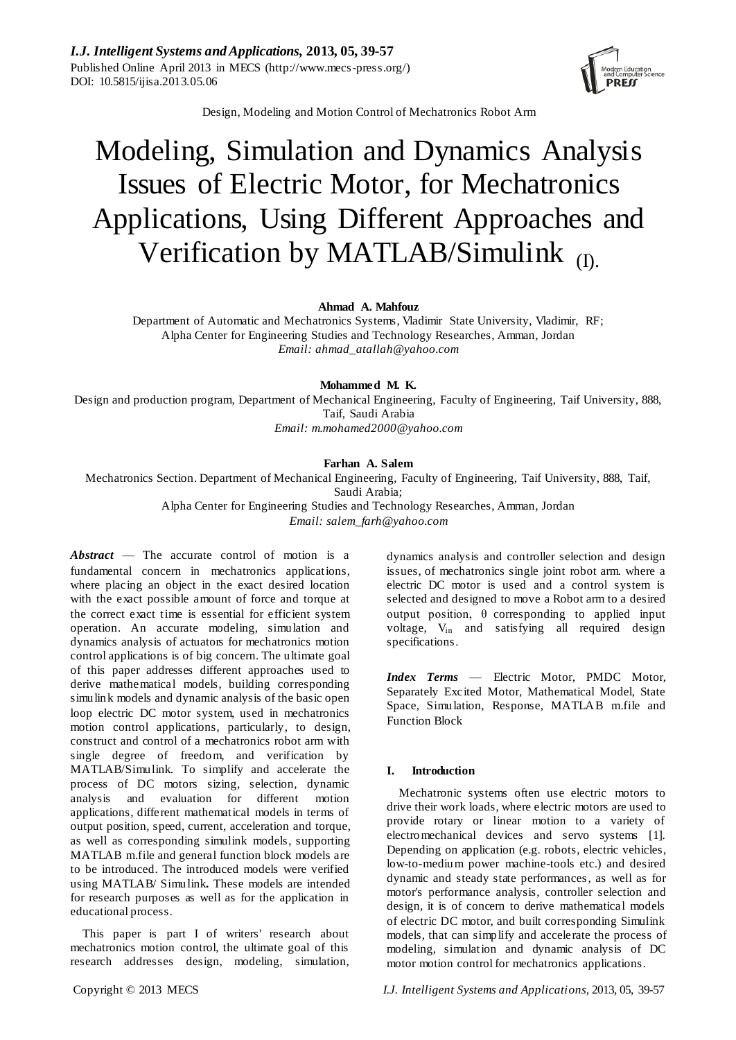*I.J. Intelligent Systems and Applications,* **2013, 05, 39-57** Published Online April 2013 in MECS (http://www.mecs-press.org/) DOI: 10.5815/ijisa.2013.05.06



Design, Modeling and Motion Control of Mechatronics Robot Arm

# Modeling, Simulation and Dynamics Analysis Issues of Electric Motor, for Mechatronics Applications, Using Different Approaches and Verification by MATLAB/Simulink  $_{(D)}$

**Ahmad A. Mahfouz**

Department of Automatic and Mechatronics Systems, Vladimir State University, Vladimir, RF; Alpha Center for Engineering Studies and Technology Researches, Amman, Jordan *Email: ahmad\_atallah@yahoo.com*

**Mohammed M. K.**

Design and production program, Department of Mechanical Engineering, Faculty of Engineering, Taif University, 888, Taif, Saudi Arabia

*Email: m.mohamed2000@yahoo.com*

# **Farhan A. Salem**

Mechatronics Section. Department of Mechanical Engineering, Faculty of Engineering, Taif University, 888, Taif, Saudi Arabia;

> Alpha Center for Engineering Studies and Technology Researches, Amman, Jordan *Email: salem\_farh@yahoo.com*

*Abstract* — The accurate control of motion is a fundamental concern in mechatronics applications, where placing an object in the exact desired location with the exact possible amount of force and torque at the correct exact time is essential for efficient system operation. An accurate modeling, simulation and dynamics analysis of actuators for mechatronics motion control applications is of big concern. The ultimate goal of this paper addresses different approaches used to derive mathematical models, building corresponding simulink models and dynamic analysis of the basic open loop electric DC motor system, used in mechatronics motion control applications, particularly, to design, construct and control of a mechatronics robot arm with single degree of freedom, and verification by MATLAB/Simulink. To simplify and accelerate the process of DC motors sizing, selection, dynamic analysis and evaluation for different motion applications, different mathematical models in terms of output position, speed, current, acceleration and torque, as well as corresponding simulink models, supporting MATLAB m.file and general function block models are to be introduced. The introduced models were verified using MATLAB/ Simulink**.** These models are intended for research purposes as well as for the application in educational process.

This paper is part I of writers' research about mechatronics motion control, the ultimate goal of this research addresses design, modeling, simulation,

dynamics analysis and controller selection and design issues, of mechatronics single joint robot arm. where a electric DC motor is used and a control system is selected and designed to move a Robot arm to a desired output position, θ corresponding to applied input voltage, V<sub>in</sub> and satisfying all required design specifications.

*Index Terms* — Electric Motor, PMDC Motor, Separately Excited Motor, Mathematical Model, State Space, Simulation, Response, MATLAB m.file and Function Block

# **I. Introduction**

Mechatronic systems often use electric motors to drive their work loads, where electric motors are used to provide rotary or linear motion to a variety of electromechanical devices and servo systems [1]. Depending on application (e.g. robots, electric vehicles, low-to-medium power machine-tools etc.) and desired dynamic and steady state performances, as well as for motor's performance analysis, controller selection and design, it is of concern to derive mathematical models of electric DC motor, and built corresponding Simulink models, that can simplify and accelerate the process of modeling, simulation and dynamic analysis of DC motor motion control for mechatronics applications.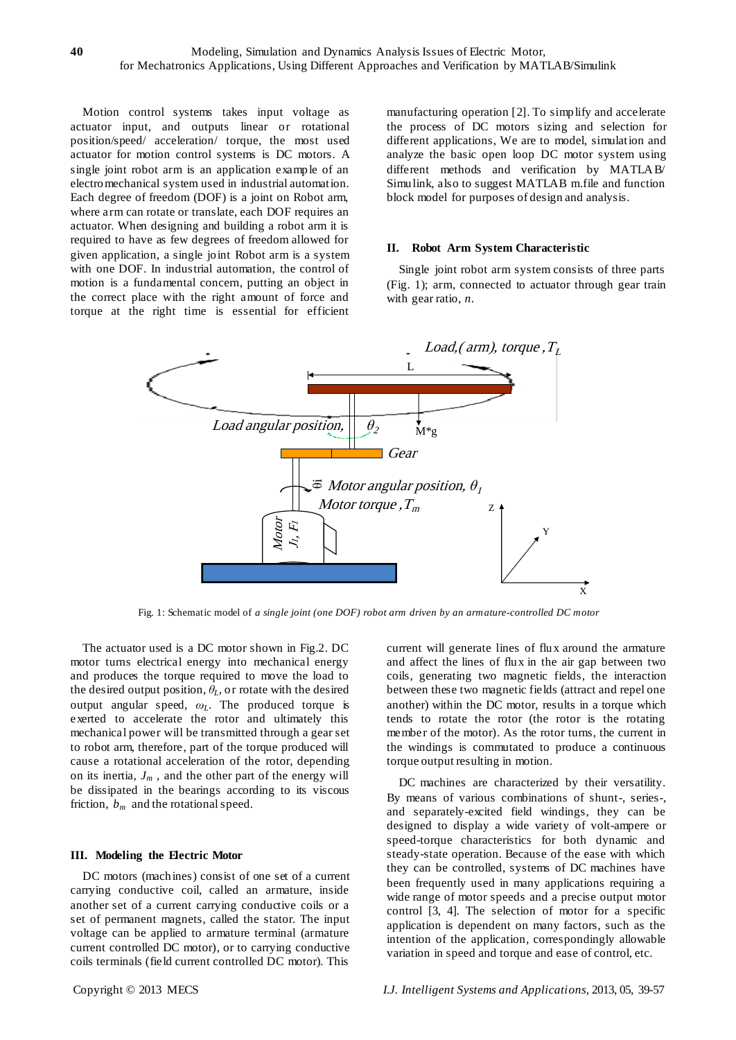Motion control systems takes input voltage as actuator input, and outputs linear or rotational position/speed/ acceleration/ torque, the most used actuator for motion control systems is DC motors. A single joint robot arm is an application example of an electromechanical system used in industrial automation. Each degree of freedom (DOF) is a joint on Robot arm, where arm can rotate or translate, each DOF requires an actuator. When designing and building a robot arm it is required to have as few degrees of freedom allowed for given application, a single joint Robot arm is a system with one DOF. In industrial automation, the control of motion is a fundamental concern, putting an object in the correct place with the right amount of force and torque at the right time is essential for efficient

manufacturing operation [2]. To simplify and accelerate the process of DC motors sizing and selection for different applications, We are to model, simulation and analyze the basic open loop DC motor system using different methods and verification by MATLAB/ Simulink, also to suggest MATLAB m.file and function block model for purposes of design and analysis.

#### **II. Robot Arm System Characteristic**

Single joint robot arm system consists of three parts (Fig. 1); arm, connected to actuator through gear train with gear ratio, *n*.



Fig. 1: Schematic model of *a single joint (one DOF) robot arm driven by an armature-controlled DC motor*

The actuator used is a DC motor shown in Fig.2. DC motor turns electrical energy into mechanical energy and produces the torque required to move the load to the desired output position, *θL*, or rotate with the desired output angular speed, *ωL*. The produced torque is exerted to accelerate the rotor and ultimately this mechanical power will be transmitted through a gear set to robot arm, therefore, part of the torque produced will cause a rotational acceleration of the rotor, depending on its inertia,  $J_m$ , and the other part of the energy will be dissipated in the bearings according to its viscous friction, *bm* and the rotational speed.

#### **III. Modeling the Electric Motor**

DC motors (machines) consist of one set of a current carrying conductive coil, called an armature, inside another set of a current carrying conductive coils or a set of permanent magnets, called the stator. The input voltage can be applied to armature terminal (armature current controlled DC motor), or to carrying conductive coils terminals (field current controlled DC motor). This

current will generate lines of flux around the armature and affect the lines of flux in the air gap between two coils, generating two magnetic fields, the interaction between these two magnetic fields (attract and repel one another) within the DC motor, results in a torque which tends to rotate the rotor (the rotor is the rotating member of the motor). As the rotor turns, the current in the windings is commutated to produce a continuous torque output resulting in motion.

DC machines are characterized by their versatility. By means of various combinations of shunt-, series-, and separately-excited field windings, they can be designed to display a wide variety of volt-ampere or speed-torque characteristics for both dynamic and steady-state operation. Because of the ease with which they can be controlled, systems of DC machines have been frequently used in many applications requiring a wide range of motor speeds and a precise output motor control [3, 4]. The selection of motor for a specific application is dependent on many factors, such as the intention of the application, correspondingly allowable variation in speed and torque and ease of control, etc.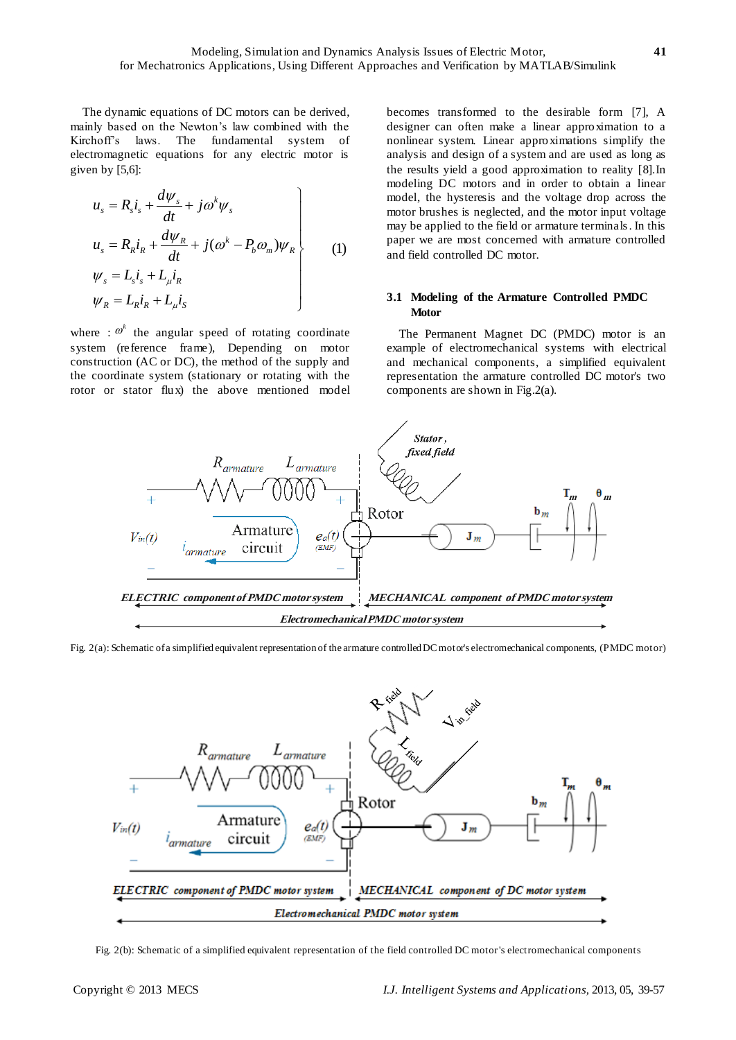The dynamic equations of DC motors can be derived, mainly based on the Newton's law combined with the Kirchoff's laws. The fundamental system of electromagnetic equations for any electric motor is given by [5,6]:

$$
u_s = R_s i_s + \frac{d\psi_s}{dt} + j\omega^k \psi_s
$$
  
\n
$$
u_s = R_R i_R + \frac{d\psi_R}{dt} + j(\omega^k - P_b \omega_m) \psi_R
$$
  
\n
$$
\psi_s = L_s i_s + L_\mu i_R
$$
  
\n
$$
\psi_R = L_R i_R + L_\mu i_S
$$
\n(1)

where  $: \omega^k$  the angular speed of rotating coordinate system (reference frame), Depending on motor construction (AC or DC), the method of the supply and the coordinate system (stationary or rotating with the rotor or stator flux) the above mentioned model

becomes transformed to the desirable form [7], A designer can often make a linear approximation to a nonlinear system. Linear approximations simplify the analysis and design of a system and are used as long as the results yield a good approximation to reality [8].In modeling DC motors and in order to obtain a linear model, the hysteresis and the voltage drop across the motor brushes is neglected, and the motor input voltage may be applied to the field or armature terminals. In this paper we are most concerned with armature controlled and field controlled DC motor.

#### **3.1 Modeling of the Armature Controlled PMDC Motor**

The Permanent Magnet DC (PMDC) motor is an example of electromechanical systems with electrical and mechanical components, a simplified equivalent representation the armature controlled DC motor's two components are shown in Fig.2(a).



Fig. 2(a): Schematic of a simplified equivalent representation of the armature controlled DC motor's electromechanical components, (PMDC motor)



Fig. 2(b): Schematic of a simplified equivalent representation of the field controlled DC motor's electromechanical components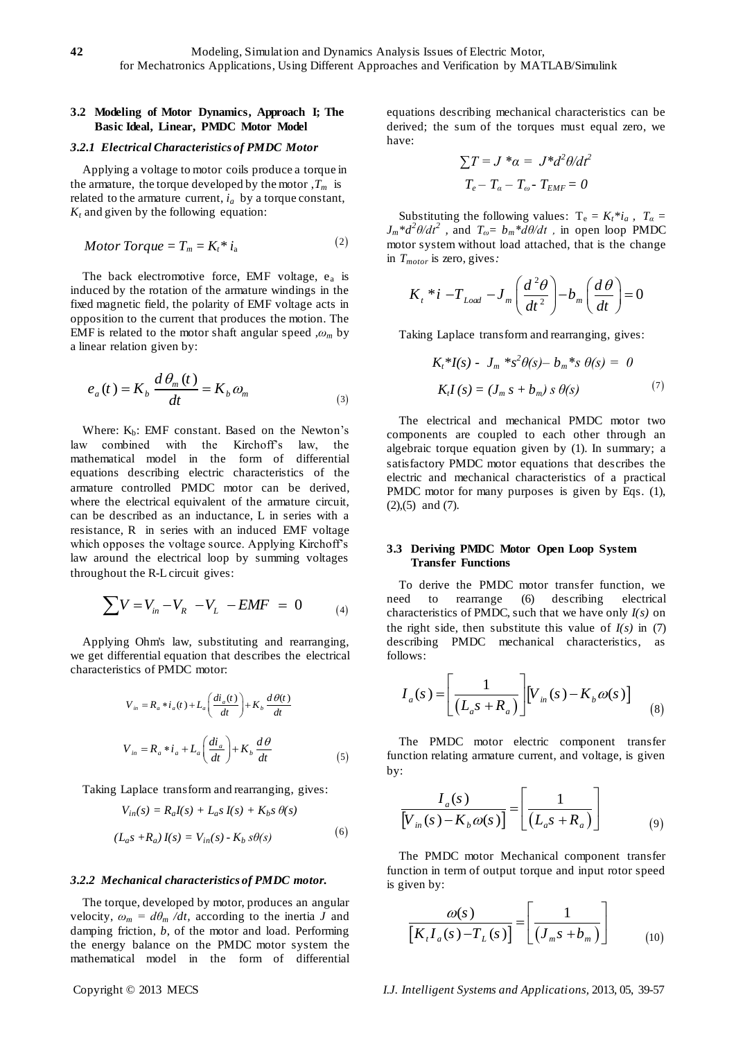# **3.2 Modeling of Motor Dynamics, Approach I; The Basic Ideal, Linear, PMDC Motor Model**

#### *3.2.1 Electrical Characteristics of PMDC Motor*

Applying a voltage to motor coils produce a torque in the armature, the torque developed by the motor  $T_m$  is related to the armature current,  $i_a$  by a torque constant,  $K_t$  and given by the following equation:

*Motor Torque* = 
$$
T_m
$$
 =  $K_t$ <sup>\*</sup>  $i_a$  (2)

The back electromotive force, EMF voltage,  $e_a$  is induced by the rotation of the armature windings in the fixed magnetic field, the polarity of EMF voltage acts in opposition to the current that produces the motion. The EMF is related to the motor shaft angular speed  $, \omega_m$  by a linear relation given by:

$$
e_a(t) = K_b \frac{d\theta_m(t)}{dt} = K_b \omega_m \tag{3}
$$

Where:  $K_b$ : EMF constant. Based on the Newton's law combined with the Kirchoff's law, the mathematical model in the form of differential equations describing electric characteristics of the armature controlled PMDC motor can be derived, where the electrical equivalent of the armature circuit, can be described as an inductance, L in series with a resistance, R in series with an induced EMF voltage which opposes the voltage source. Applying Kirchoff's law around the electrical loop by summing voltages throughout the R-L circuit gives:

$$
\sum V = V_{in} - V_R - V_L - EMF = 0
$$
 (4)

Applying Ohm's law, substituting and rearranging, we get differential equation that describes the electrical characteristics of PMDC motor:

$$
V_{in} = R_a * i_a(t) + L_a \left(\frac{di_a(t)}{dt}\right) + K_b \frac{d\theta(t)}{dt}
$$
  

$$
V_{in} = R_a * i_a + L_a \left(\frac{di_a}{dt}\right) + K_b \frac{d\theta}{dt}
$$
 (5)

Taking Laplace transform and rearranging, gives:

$$
V_{in}(s) = R_a I(s) + L_a s I(s) + K_b s \theta(s)
$$
  

$$
(L_a s + R_a) I(s) = V_{in}(s) - K_b s \theta(s)
$$
 (6)

#### *3.2.2 Mechanical characteristics of PMDC motor.*

The torque, developed by motor, produces an angular velocity,  $\omega_m = d\theta_m / dt$ , according to the inertia *J* and damping friction, *b*, of the motor and load. Performing the energy balance on the PMDC motor system the mathematical model in the form of differential equations describing mechanical characteristics can be derived; the sum of the torques must equal zero, we have:

$$
\sum T = J^* \alpha = J^* d^2 \theta / d t^2
$$

$$
T_e - T_\alpha - T_\omega - T_{EMF} = 0
$$

Substituting the following values:  $T_e = K_t * i_a$ ,  $T_a =$  $J_m * d^2\theta/dt^2$ , and  $T_{\omega} = b_m * d\theta/dt$ , in open loop PMDC motor system without load attached, that is the change in *Tmotor* is zero, gives*:*

$$
K_{t} * i - T_{Load} - J_{m} \left( \frac{d^{2} \theta}{dt^{2}} \right) - b_{m} \left( \frac{d \theta}{dt} \right) = 0
$$

Taking Laplace transform and rearranging, gives:

$$
K_{t} * I(s) - J_{m} * s^{2} \theta(s) - b_{m} * s \theta(s) = 0
$$
  

$$
K_{t} I(s) = (J_{m} s + b_{m}) s \theta(s)
$$
 (7)

The electrical and mechanical PMDC motor two components are coupled to each other through an algebraic torque equation given by (1). In summary; a satisfactory PMDC motor equations that describes the electric and mechanical characteristics of a practical PMDC motor for many purposes is given by Eqs. (1), (2),(5) and (7).

### **3.3 Deriving PMDC Motor Open Loop System Transfer Functions**

To derive the PMDC motor transfer function, we need to rearrange (6) describing electrical characteristics of PMDC, such that we have only *I(s)* on the right side, then substitute this value of  $I(s)$  in (7) describing PMDC mechanical characteristics, as follows:

rows:  
\n
$$
I_a(s) = \left[ \frac{1}{(L_a s + R_a)} \right] \left[ V_{in}(s) - K_b \omega(s) \right]
$$
\n(8)

The PMDC motor electric component transfer function relating armature current, and voltage, is given by:

$$
\frac{I_a(s)}{[V_{in}(s) - K_b \omega(s)]} = \left[\frac{1}{(L_a s + R_a)}\right]
$$
(9)

The PMDC motor Mechanical component transfer function in term of output torque and input rotor speed is given by:

$$
\frac{\omega(s)}{\left[K_{t}I_{a}(s)-T_{L}(s)\right]} = \left[\frac{1}{\left(J_{m}s+b_{m}\right)}\right]
$$
(10)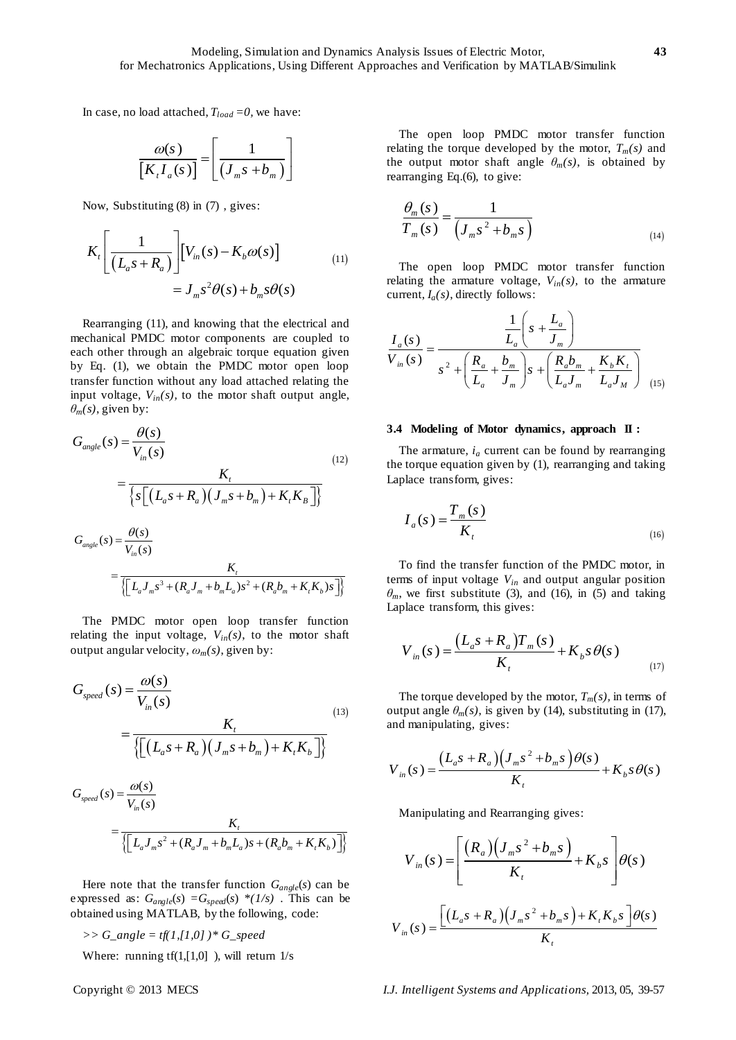In case, no load attached,  $T_{load} = 0$ , we have:

$$
\frac{\omega(s)}{[K_{t}I_{a}(s)]} = \left[\frac{1}{(J_{m}s + b_{m})}\right]
$$

Now, Substituting (8) in (7) , gives:

$$
K_t \left[ \frac{1}{(L_a s + R_a)} \right] \left[ V_m(s) - K_b \omega(s) \right]
$$
  
=  $J_m s^2 \theta(s) + b_m s \theta(s)$  (11)

Rearranging (11), and knowing that the electrical and mechanical PMDC motor components are coupled to each other through an algebraic torque equation given by Eq. (1), we obtain the PMDC motor open loop transfer function without any load attached relating the input voltage,  $V_{in}(s)$ , to the motor shaft output angle,

$$
\theta_m(s), \text{ given by:}
$$
\n
$$
G_{angle}(s) = \frac{\theta(s)}{V_{in}(s)}
$$
\n
$$
= \frac{K_t}{\left\{s\left[\left(L_a s + R_a\right)\left(J_m s + b_m\right) + K_t K_B\right]\right\}}
$$
\n
$$
G_{angle}(s) = \frac{\theta(s)}{V_{in}(s)}
$$
\n
$$
= \frac{K_t}{\left\{\left[L_a J_m s^3 + (R_a J_m + b_m L_a) s^2 + (R_a b_m + K_t K_b) s\right]\right\}}
$$
\n(12)

The PMDC motor open loop transfer function relating the input voltage,  $V_{in}(s)$ , to the motor shaft

output angular velocity, 
$$
\omega_m(s)
$$
, given by:  
\n
$$
G_{speed}(s) = \frac{\omega(s)}{V_{in}(s)}
$$
\n
$$
= \frac{K_t}{\{[(L_a s + R_a)(J_m s + b_m) + K_t K_b]\}}
$$
\n(13)

$$
G_{speed}(s) = \frac{\omega(s)}{V_{in}(s)}
$$
  
= 
$$
\frac{K_t}{\{L_d J_m s^2 + (R_a J_m + b_m L_a) s + (R_a b_m + K_t K_b)\}}
$$

Here note that the transfer function  $G_{angle}(s)$  can be expressed as:  $G_{angle}(s) = G_{speed}(s) * (1/s)$ . This can be obtained using MATLAB, by the following, code:

*>> G\_angle = tf(1,[1,0] )\* G\_speed*

Where: running  $tf(1,[1,0])$ , will return  $1/s$ 

The open loop PMDC motor transfer function relating the torque developed by the motor,  $T_m(s)$  and the output motor shaft angle  $\theta_m(s)$ , is obtained by rearranging Eq.(6), to give:

$$
\frac{\theta_m(s)}{T_m(s)} = \frac{1}{\left(J_m s^2 + b_m s\right)}
$$
\n(14)

The open loop PMDC motor transfer function relating the armature voltage,  $V_{in}(s)$ , to the armature current, *Ia(s)*, directly follows:

current, 
$$
I_a(s)
$$
, directly follows:  
\n
$$
\frac{I_a(s)}{V_{in}(s)} = \frac{\frac{1}{L_a}\left(s + \frac{L_a}{J_m}\right)}{s^2 + \left(\frac{R_a}{L_a} + \frac{b_m}{J_m}\right)s + \left(\frac{R_a b_m}{L_a J_m} + \frac{K_b K_t}{L_a J_M}\right)}
$$
\n(15)

#### **3.4 Modeling of Motor dynamics, approach II :**

The armature,  $i_a$  current can be found by rearranging the torque equation given by (1), rearranging and taking Laplace transform, gives:

$$
I_a(s) = \frac{T_m(s)}{K_t}
$$
\n(16)

To find the transfer function of the PMDC motor, in terms of input voltage *Vin* and output angular position  $\theta_m$ , we first substitute (3), and (16), in (5) and taking Laplace transform, this gives:

$$
V_{in}(s) = \frac{(L_a s + R_a)T_m(s)}{K_t} + K_b s \theta(s)
$$
\n(17)

The torque developed by the motor,  $T_m(s)$ , in terms of output angle  $\theta_m(s)$ , is given by (14), substituting in (17), and manipulating, gives:

and manipulating, gives:  
\n
$$
V_{in}(s) = \frac{(L_a s + R_a)(J_m s^2 + b_m s)\theta(s)}{K_t} + K_b s\theta(s)
$$

Manipulating and Rearranging gives:

$$
V_{in}(s) = \left[ \frac{(R_a)(J_m s^2 + b_m s)}{K_t} + K_b s \right] \theta(s)
$$

$$
V_{in}(s) = \frac{\left[ (L_a s + R_a)(J_m s^2 + b_m s) + K_t K_b s \right] \theta(s)}{K_t}
$$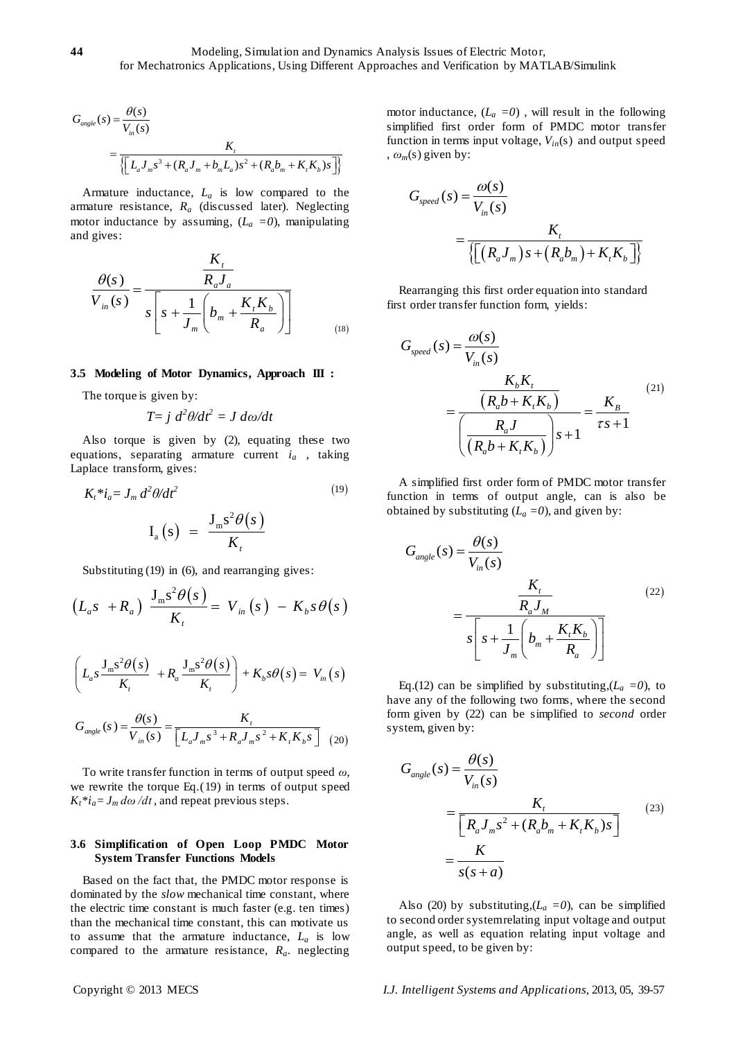$$
G_{angle}(s) = \frac{\theta(s)}{V_{in}(s)}
$$
  
= 
$$
\frac{K_t}{\left\{ \left[ L_a J_m s^3 + (R_a J_m + b_m L_a) s^2 + (R_a b_m + K_t K_b) s \right] \right\}}
$$

Armature inductance, *L<sup>a</sup>* is low compared to the armature resistance, *R<sup>a</sup>* (discussed later). Neglecting motor inductance by assuming,  $(L_a = 0)$ , manipulating and gives:

$$
\frac{\theta(s)}{V_{in}(s)} = \frac{\frac{K_t}{R_a J_a}}{s \left[ s + \frac{1}{J_m} \left( b_m + \frac{K_t K_b}{R_a} \right) \right]}
$$
(18)

#### **3.5 Modeling of Motor Dynamics, Approach III :**

The torque is given by:

$$
T = j \frac{d^2\theta}{dt^2} = J \frac{d\omega}{dt}
$$

Also torque is given by (2), equating these two equations, separating armature current *i<sup>a</sup>* , taking Laplace transform, gives:

$$
K_t * i_a = J_m d^2 \theta / dt^2
$$
\n
$$
I_c *^2 \theta (s)
$$
\n(19)

$$
\mathrm{I}_{a}\left(s\right) = \frac{\mathrm{J}_{m}\mathrm{s}^{2}\theta(s)}{K_{t}}
$$

Substituting (19) in (6), and rearranging gives:  
\n
$$
(L_a s + R_a) \frac{J_m s^2 \theta(s)}{K_t} = V_{in}(s) - K_b s \theta(s)
$$

$$
\left(L_a s \frac{J_m s^2 \theta(s)}{K_t} + R_a \frac{J_m s^2 \theta(s)}{K_t}\right) + K_b s \theta(s) = V_m(s)
$$

$$
G_{angle}(s) = \frac{\theta(s)}{V_{in}(s)} = \frac{K_{t}}{[L_{a}J_{m}s^{3} + R_{a}J_{m}s^{2} + K_{t}K_{b}s]} (20)
$$

To write transfer function in terms of output speed *ω*, we rewrite the torque Eq.(19) in terms of output speed  $K_t * i_a = J_m d\omega / dt$ , and repeat previous steps.

## **3.6 Simplification of Open Loop PMDC Motor System Transfer Functions Models**

Based on the fact that, the PMDC motor response is dominated by the *slow* mechanical time constant, where the electric time constant is much faster (e.g. ten times) than the mechanical time constant, this can motivate us to assume that the armature inductance,  $L_a$  is low compared to the armature resistance, *Ra*. neglecting

motor inductance,  $(L_a = 0)$ , will result in the following simplified first order form of PMDC motor transfer function in terms input voltage, *Vin*(s) and output speed ,  $\omega_m(s)$  given by:

$$
G_{speed}(s) = \frac{\omega(s)}{V_{in}(s)}
$$
  
= 
$$
\frac{K_t}{\left\{ \left[ \left( R_a J_m \right) s + \left( R_a b_m \right) + K_t K_b \right] \right\}}
$$

Rearranging this first order equation into standard first order transfer function form, yields:

$$
G_{speed}(s) = \frac{\omega(s)}{V_{in}(s)}
$$
  
= 
$$
\frac{\frac{K_b K_t}{(R_a b + K_t K_b)}}{\left(\frac{R_a J}{(R_a b + K_t K_b)}\right) s + 1} = \frac{K_B}{\tau s + 1}
$$
 (21)

A simplified first order form of PMDC motor transfer function in terms of output angle, can is also be obtained by substituting  $(L_a = 0)$ , and given by:

$$
G_{angle}(s) = \frac{\theta(s)}{V_{in}(s)}
$$
  
= 
$$
\frac{K_{t}}{s \left[ s + \frac{1}{J_{m}} \left( b_{m} + \frac{K_{t}K_{b}}{R_{a}} \right) \right]}
$$
 (22)

Eq.(12) can be simplified by substituting,  $(L_a = 0)$ , to have any of the following two forms, where the second form given by (22) can be simplified to *second* order system, given by:

$$
G_{angle}(s) = \frac{\theta(s)}{V_{in}(s)}
$$
  
= 
$$
\frac{K_t}{\left[R_a J_m s^2 + (R_a b_m + K_t K_b) s\right]}
$$
 (23)  
= 
$$
\frac{K}{s(s+a)}
$$

Also (20) by substituting,  $(L_a = 0)$ , can be simplified to second order system relating input voltage and output angle, as well as equation relating input voltage and output speed, to be given by: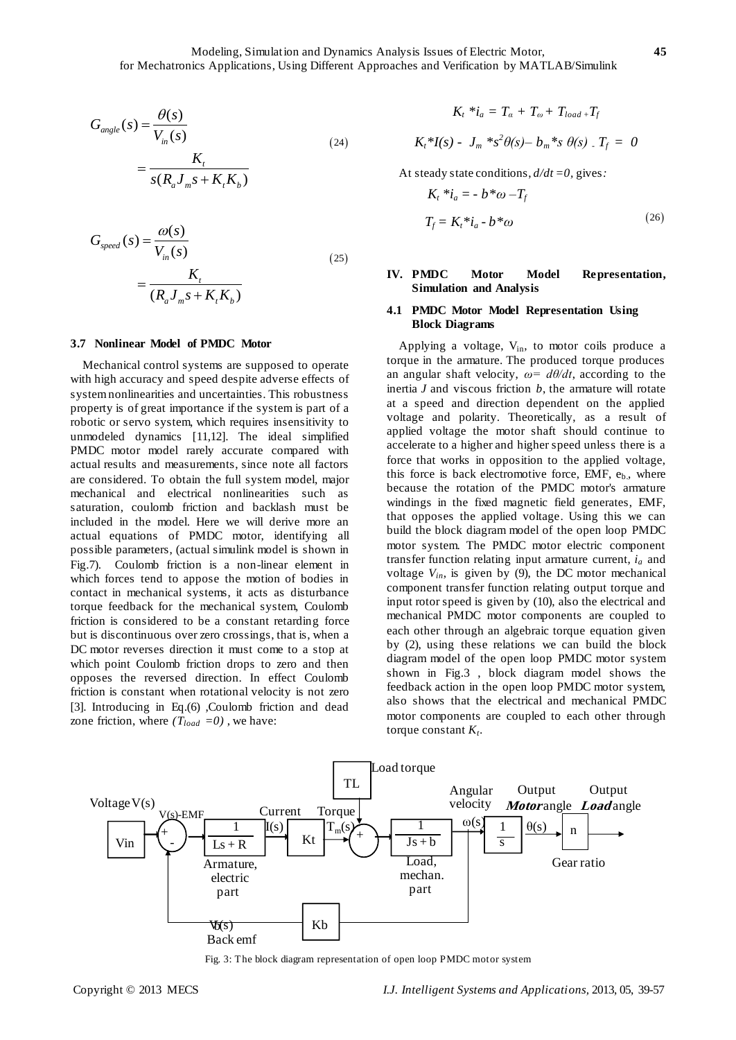$$
G_{angle}(s) = \frac{\theta(s)}{V_{in}(s)}
$$
  
= 
$$
\frac{K_t}{s(R_a J_m s + K_t K_b)}
$$
 (24)

$$
G_{speed}(s) = \frac{\omega(s)}{V_{in}(s)}
$$
  
= 
$$
\frac{K_t}{(R_a J_m s + K_t K_b)}
$$
 (25)

#### **3.7 Nonlinear Model of PMDC Motor**

Mechanical control systems are supposed to operate with high accuracy and speed despite adverse effects of system nonlinearities and uncertainties. This robustness property is of great importance if the system is part of a robotic or servo system, which requires insensitivity to unmodeled dynamics [11,12]. The ideal simplified PMDC motor model rarely accurate compared with actual results and measurements, since note all factors are considered. To obtain the full system model, major mechanical and electrical nonlinearities such as saturation, coulomb friction and backlash must be included in the model. Here we will derive more an actual equations of PMDC motor, identifying all possible parameters, (actual simulink model is shown in Fig.7). Coulomb friction is a non-linear element in which forces tend to appose the motion of bodies in contact in mechanical systems, it acts as disturbance torque feedback for the mechanical system, Coulomb friction is considered to be a constant retarding force but is discontinuous over zero crossings, that is, when a DC motor reverses direction it must come to a stop at which point Coulomb friction drops to zero and then opposes the reversed direction. In effect Coulomb friction is constant when rotational velocity is not zero [3]. Introducing in Eq.(6) ,Coulomb friction and dead zone friction, where  $(T_{load} = 0)$ , we have:

$$
K_t * i_a = T_a + T_{\omega} + T_{load} + T_f
$$
  

$$
K_t * I(s) - J_m * s^2 \theta(s) - b_m * s \theta(s) \cdot T_f = 0
$$

At steady state conditions, *d/dt =0,* gives*:*

$$
K_t * i_a = -b * \omega - T_f
$$
  
\n
$$
T_f = K_t * i_a - b * \omega
$$
\n(26)

# **IV. PMDC Motor Model Representation, Simulation and Analysis**

## **4.1 PMDC Motor Model Representation Using Block Diagrams**

Applying a voltage, V<sub>in</sub>, to motor coils produce a torque in the armature. The produced torque produces an angular shaft velocity,  $\omega = d\theta/dt$ , according to the inertia *J* and viscous friction *b*, the armature will rotate at a speed and direction dependent on the applied voltage and polarity. Theoretically, as a result of applied voltage the motor shaft should continue to accelerate to a higher and higher speed unless there is a force that works in opposition to the applied voltage, this force is back electromotive force, EMF,  $e<sub>b</sub>$ , where because the rotation of the PMDC motor's armature windings in the fixed magnetic field generates, EMF, that opposes the applied voltage. Using this we can build the block diagram model of the open loop PMDC motor system. The PMDC motor electric component transfer function relating input armature current, *i<sup>a</sup>* and voltage  $V_{in}$ , is given by (9), the DC motor mechanical component transfer function relating output torque and input rotor speed is given by (10), also the electrical and mechanical PMDC motor components are coupled to each other through an algebraic torque equation given by (2), using these relations we can build the block diagram model of the open loop PMDC motor system shown in Fig.3 , block diagram model shows the feedback action in the open loop PMDC motor system, also shows that the electrical and mechanical PMDC motor components are coupled to each other through torque constant  $K_t$ .



Fig. 3: The block diagram representation of open loop PMDC motor system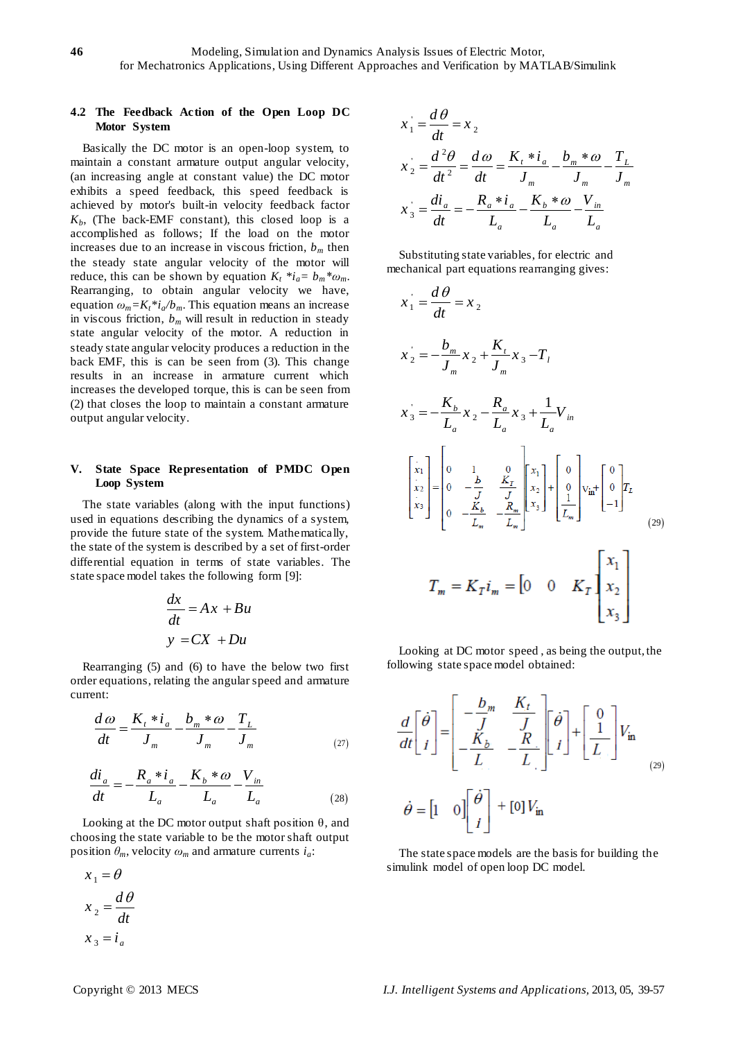# **4.2 The Feedback Action of the Open Loop DC Motor System**

Basically the DC motor is an open-loop system, to maintain a constant armature output angular velocity, (an increasing angle at constant value) the DC motor exhibits a speed feedback, this speed feedback is achieved by motor's built-in velocity feedback factor  $K_b$ , (The back-EMF constant), this closed loop is a accomplished as follows; If the load on the motor increases due to an increase in viscous friction,  $b_m$  then the steady state angular velocity of the motor will reduce, this can be shown by equation  $K_t * i_a = b_m * \omega_m$ . Rearranging, to obtain angular velocity we have, equation  $\omega_m = K_t * i_a/b_m$ . This equation means an increase in viscous friction,  $b_m$  will result in reduction in steady state angular velocity of the motor. A reduction in steady state angular velocity produces a reduction in the back EMF, this is can be seen from (3). This change results in an increase in armature current which increases the developed torque, this is can be seen from (2) that closes the loop to maintain a constant armature output angular velocity.

# **V. State Space Representation of PMDC Open Loop System**

The state variables (along with the input functions) used in equations describing the dynamics of a system, provide the future state of the system. Mathematically, the state of the system is described by a set of first-order differential equation in terms of state variables. The state space model takes the following form [9]:

$$
\frac{dx}{dt} = Ax + Bu
$$
  

$$
y = CX + Du
$$

Rearranging (5) and (6) to have the below two first order equations, relating the angular speed and armature current:

$$
\frac{d\omega}{dt} = \frac{K_{\iota} * i_{a}}{J_{m}} - \frac{b_{m} * \omega}{J_{m}} - \frac{T_{L}}{J_{m}}
$$
\n(27)

$$
\frac{di_a}{dt} = -\frac{R_a * i_a}{L_a} - \frac{K_b * \omega}{L_a} - \frac{V_{in}}{L_a}
$$
\n(28)

Looking at the DC motor output shaft position  $\theta$ , and choosing the state variable to be the motor shaft output position  $\theta_m$ , velocity  $\omega_m$  and armature currents  $i_a$ :

$$
x_1 = \theta
$$
  

$$
x_2 = \frac{d\theta}{dt}
$$
  

$$
x_3 = i_a
$$

$$
x_1 = \frac{d\theta}{dt} = x_2
$$
  
\n
$$
x_2 = \frac{d^2\theta}{dt^2} = \frac{d\omega}{dt} = \frac{K_t * i_a}{J_m} - \frac{b_m * \omega}{J_m} - \frac{T_L}{J_m}
$$
  
\n
$$
x_3 = \frac{di_a}{dt} = -\frac{R_a * i_a}{L_a} - \frac{K_b * \omega}{L_a} - \frac{V_m}{L_a}
$$

Substituting state variables, for electric and mechanical part equations rearranging gives:

$$
x_{1} = \frac{d\theta}{dt} = x_{2}
$$
\n
$$
x_{2} = -\frac{b_{m}}{J_{m}} x_{2} + \frac{K_{t}}{J_{m}} x_{3} - T_{t}
$$
\n
$$
x_{3} = -\frac{K_{b}}{L_{a}} x_{2} - \frac{R_{a}}{L_{a}} x_{3} + \frac{1}{L_{a}} V_{in}
$$
\n
$$
\begin{bmatrix} x_{1} \\ x_{2} \\ x_{3} \end{bmatrix} = \begin{bmatrix} 0 & 1 & 0 \\ 0 & -\frac{b}{J} & \frac{K_{r}}{J} \\ 0 & -\frac{K_{b}}{L_{m}} & -\frac{R_{m}}{L_{m}} \end{bmatrix} \begin{bmatrix} x_{1} \\ x_{2} \\ x_{3} \end{bmatrix} + \begin{bmatrix} 0 \\ 0 \\ \frac{1}{L_{m}} \end{bmatrix} V_{in} + \begin{bmatrix} 0 \\ 0 \\ -1 \end{bmatrix} T_{L}
$$
\n
$$
T_{m} = K_{T} i_{m} = \begin{bmatrix} 0 & 0 & K_{T} \end{bmatrix} \begin{bmatrix} x_{1} \\ x_{2} \\ x_{3} \end{bmatrix}
$$

Looking at DC motor speed , as being the output, the following state space model obtained:

$$
\frac{d}{dt} \begin{bmatrix} \dot{\theta} \\ i \end{bmatrix} = \begin{bmatrix} -\frac{b_m}{J} & \frac{K_t}{J} \\ -\frac{K_b}{L} & -\frac{R}{L} \end{bmatrix} \begin{bmatrix} \dot{\theta} \\ i \end{bmatrix} + \begin{bmatrix} 0 \\ \frac{1}{L} \end{bmatrix} V_{\text{in}}
$$
\n
$$
\dot{\theta} = \begin{bmatrix} 1 & 0 \end{bmatrix} \begin{bmatrix} \dot{\theta} \\ i \end{bmatrix} + \begin{bmatrix} 0 \end{bmatrix} V_{\text{in}}
$$

The state space models are the basis for building the simulink model of open loop DC model.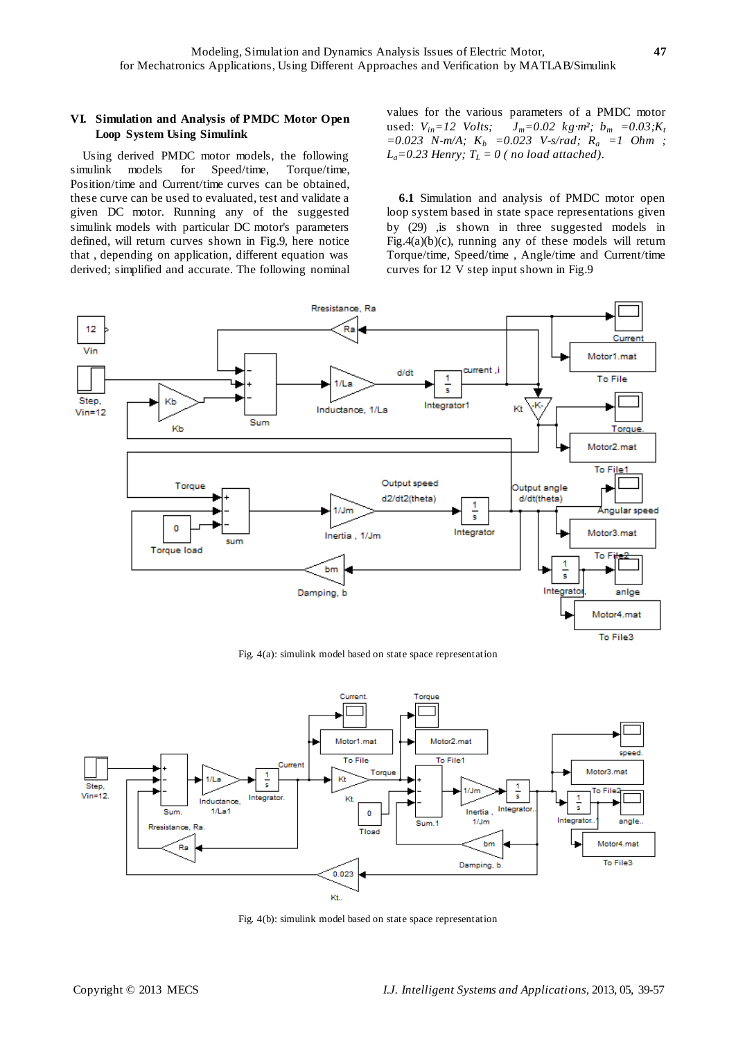# **VI. Simulation and Analysis of PMDC Motor Open Loop System Using Simulink**

Using derived PMDC motor models, the following simulink models for Speed/time, Torque/time, Position/time and Current/time curves can be obtained, these curve can be used to evaluated, test and validate a given DC motor. Running any of the suggested simulink models with particular DC motor's parameters defined, will return curves shown in Fig.9, here notice that , depending on application, different equation was derived; simplified and accurate. The following nominal values for the various parameters of a PMDC motor used:  $V_{in} = 12$  *Volts;*  $J_m = 0.02$  *kg*  $m \frac{3}{2}$   $b_m = 0.03$ ;  $K_t$ *=0.023 N-m/A; K<sup>b</sup> =0.023 V-s/rad; R<sup>a</sup> =1 Ohm ;*   $L_a = 0.23$  *Henry;*  $T_L = 0$  ( *no load attached*).

**6.1** Simulation and analysis of PMDC motor open loop system based in state space representations given by (29) ,is shown in three suggested models in Fig.4(a)(b)(c), running any of these models will return Torque/time, Speed/time , Angle/time and Current/time curves for 12 V step input shown in Fig.9



Fig. 4(a): simulink model based on state space representation



Fig. 4(b): simulink model based on state space representation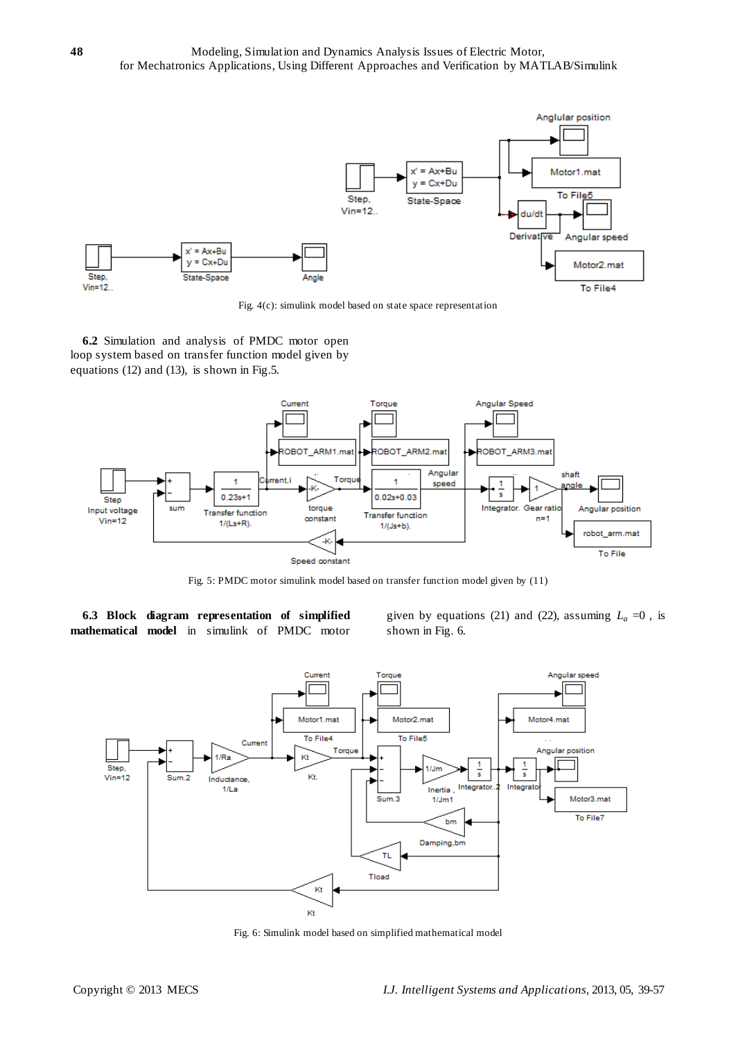

Fig. 4(c): simulink model based on state space representation

**6.2** Simulation and analysis of PMDC motor open loop system based on transfer function model given by equations (12) and (13), is shown in Fig.5.



Fig. 5: PMDC motor simulink model based on transfer function model given by (11)

**6.3 Block diagram representation of simplified mathematical model** in simulink of PMDC motor given by equations (21) and (22), assuming  $L_a = 0$ , is shown in Fig. 6.



Fig. 6: Simulink model based on simplified mathematical model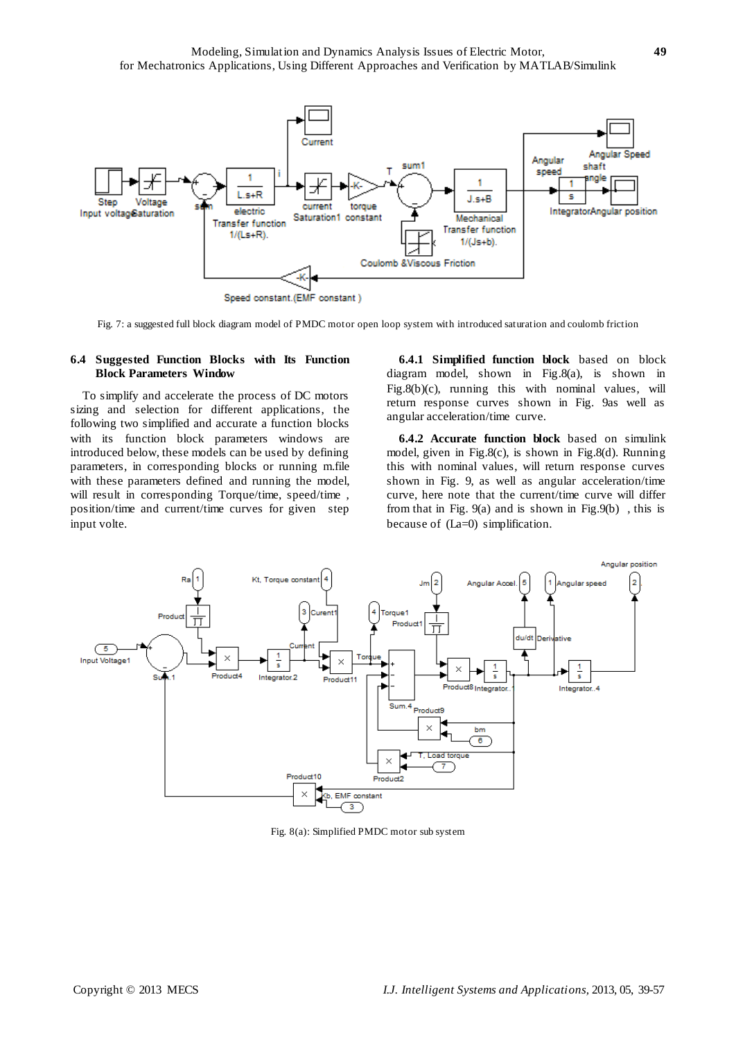

Fig. 7: a suggested full block diagram model of PMDC motor open loop system with introduced saturation and coulomb friction

#### **6.4 Suggested Function Blocks with Its Function Block Parameters Window**

To simplify and accelerate the process of DC motors sizing and selection for different applications, the following two simplified and accurate a function blocks with its function block parameters windows are introduced below, these models can be used by defining parameters, in corresponding blocks or running m.file with these parameters defined and running the model, will result in corresponding Torque/time, speed/time , position/time and current/time curves for given step input volte.

**6.4.1 Simplified function block** based on block diagram model, shown in Fig.8(a), is shown in Fig.8(b)(c), running this with nominal values, will return response curves shown in Fig. 9as well as angular acceleration/time curve.

**6.4.2 Accurate function block** based on simulink model, given in Fig.8(c), is shown in Fig.8(d). Running this with nominal values, will return response curves shown in Fig. 9, as well as angular acceleration/time curve, here note that the current/time curve will differ from that in Fig. 9(a) and is shown in Fig.9(b) , this is because of (La=0) simplification.



Fig. 8(a): Simplified PMDC motor sub system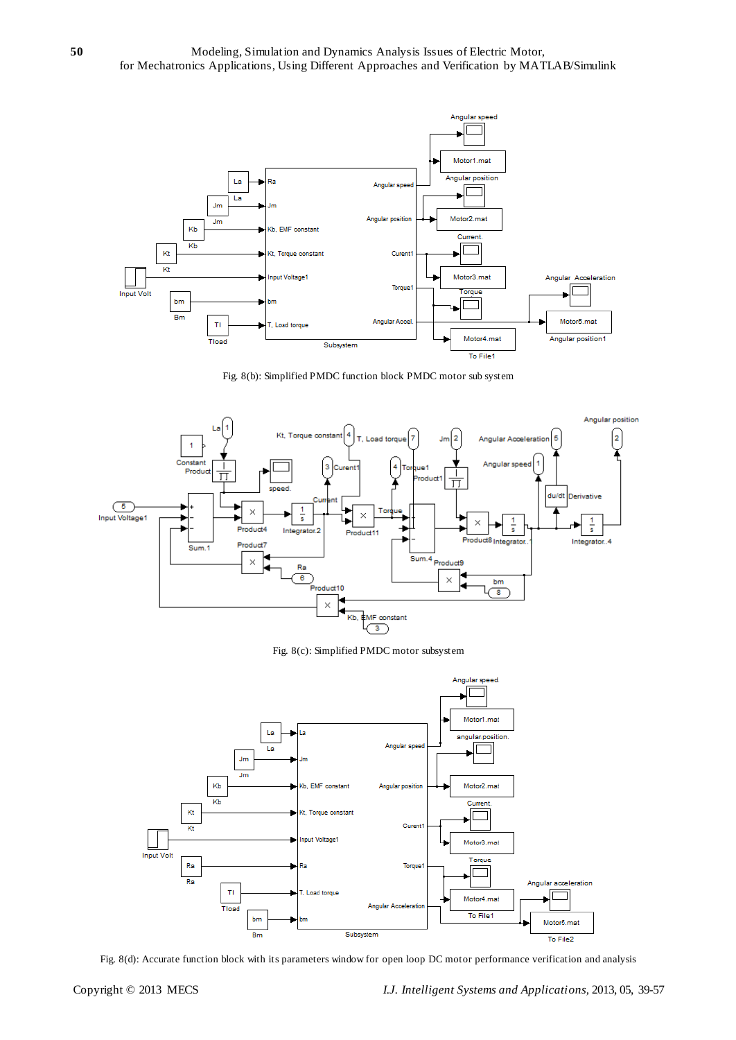

Fig. 8(b): Simplified PMDC function block PMDC motor sub system



Fig. 8(c): Simplified PMDC motor subsystem



Fig. 8(d): Accurate function block with its parameters window for open loop DC motor performance verification and analysis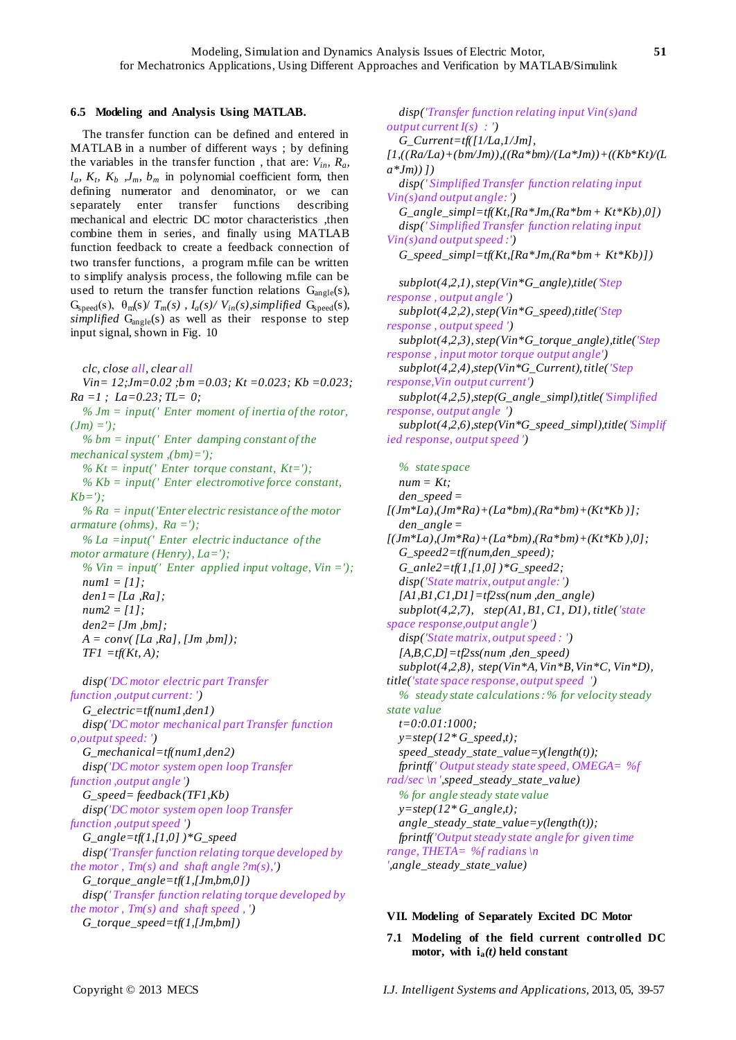# **6.5 Modeling and Analysis Using MATLAB.**

The transfer function can be defined and entered in MATLAB in a number of different ways ; by defining the variables in the transfer function, that are:  $V_{in}$ ,  $R_a$ ,  $l_a$ ,  $K_t$ ,  $K_b$ ,  $J_m$ ,  $b_m$  in polynomial coefficient form, then defining numerator and denominator, or we can separately enter transfer functions describing mechanical and electric DC motor characteristics ,then combine them in series, and finally using MATLAB function feedback to create a feedback connection of two transfer functions, a program m.file can be written to simplify analysis process, the following m.file can be used to return the transfer function relations  $G_{angle}(s)$ ,  $G_{\text{speed}}(s)$ ,  $\theta_{\text{m}}(s) / T_{\text{m}}(s)$ ,  $I_a(s) / V_{\text{in}}(s)$ , simplified  $G_{\text{speed}}(s)$ , *simplified*  $G_{angle}(s)$  as well as their response to step input signal, shown in Fig. 10

*clc, close all, clear all*

*Vin= 12;Jm=0.02 ;bm =0.03; Kt =0.023; Kb =0.023; Ra =1 ; La=0.23; TL= 0; % Jm = input(' Enter moment of inertia of the rotor,* 

 $(Jm) =$ ');

*% bm = input(' Enter damping constant of the mechanical system ,(bm)=');*

*% Kt = input(' Enter torque constant, Kt='); % Kb = input(' Enter electromotive force constant, Kb='); % Ra = input('Enter electric resistance of the motor armature (ohms), Ra ='); % La =input(' Enter electric inductance of the motor armature (Henry), La='); % Vin = input(' Enter applied input voltage, Vin =');*

*num1 = [1]; den1= [La ,Ra]; num2 = [1]; den2= [Jm ,bm]; A = conv( [La ,Ra], [Jm ,bm]); TF1 =tf(Kt, A);*

*disp('DC motor electric part Transfer function ,output current: ') G\_electric=tf(num1,den1) disp('DC motor mechanical part Transfer function o,output speed: ') G\_mechanical=tf(num1,den2) disp('DC motor system open loop Transfer function ,output angle ') G\_speed= feedback(TF1,Kb) disp('DC motor system open loop Transfer function ,output speed ') G\_angle=tf(1,[1,0] )\*G\_speed disp('Transfer function relating torque developed by the motor , Tm(s) and shaft angle ?m(s),') G\_torque\_angle=tf(1,[Jm,bm,0]) disp(' Transfer function relating torque developed by the motor , Tm(s) and shaft speed , ') G\_torque\_speed=tf(1,[Jm,bm])*

*disp('Transfer function relating input Vin(s)and output current I(s) : ') G\_Current=tf([1/La,1/Jm], [1,((Ra/La)+(bm/Jm)),((Ra\*bm)/(La\*Jm))+((Kb\*Kt)/(L a\*Jm)) ]) disp(' Simplified Transfer function relating input Vin(s)and output angle: ') G\_angle\_simpl=tf(Kt,[Ra\*Jm,(Ra\*bm + Kt\*Kb),0]) disp(' Simplified Transfer function relating input Vin(s)and output speed :') G\_speed\_simpl=tf(Kt,[Ra\*Jm,(Ra\*bm + Kt\*Kb)]) subplot(4,2,1), step(Vin\*G\_angle),title('Step response , output angle ') subplot(4,2,2), step(Vin\*G\_speed),title('Step response , output speed ') subplot(4,2,3), step(Vin\*G\_torque\_angle),title('Step response , input motor torque output angle') subplot(4,2,4),step(Vin\*G\_Current), title('Step response,Vin output current') subplot(4,2,5),step(G\_angle\_simpl),title('Simplified response, output angle ') subplot(4,2,6),step(Vin\*G\_speed\_simpl),title('Simplif ied response, output speed ')*

*% state space* 

*num = Kt; den\_speed = [(Jm\*La),(Jm\*Ra)+(La\*bm),(Ra\*bm)+(Kt\*Kb )]; den\_angle = [(Jm\*La),(Jm\*Ra)+(La\*bm),(Ra\*bm)+(Kt\*Kb ),0]; G\_speed2=tf(num,den\_speed); G\_anle2=tf(1,[1,0] )\*G\_speed2; disp('State matrix, output angle: ') [A1,B1,C1,D1]=tf2ss(num ,den\_angle) subplot(4,2,7), step(A1, B1, C1, D1), title('state space response,output angle') disp('State matrix, output speed : ') [A,B,C,D]=tf2ss(num ,den\_speed) subplot(4,2,8), step(Vin\*A, Vin\*B, Vin\*C, Vin\*D), title('state space response, output speed ') % steady state calculations : % for velocity steady state value t=0:0.01:1000; y=step(12\* G\_speed,t); speed\_steady\_state\_value=y(length(t)); fprintf(' Output steady state speed, OMEGA= %f rad/sec \n ',speed\_steady\_state\_value) % for angle steady state value y=step(12\* G\_angle,t); angle\_steady\_state\_value=y(length(t)); fprintf('Output steady state angle for given time range, THETA= %f radians \n* 

*',angle\_steady\_state\_value)*

# **VII. Modeling of Separately Excited DC Motor**

**7.1 Modeling of the field current controlled DC motor, with ia***(t)* **held constant**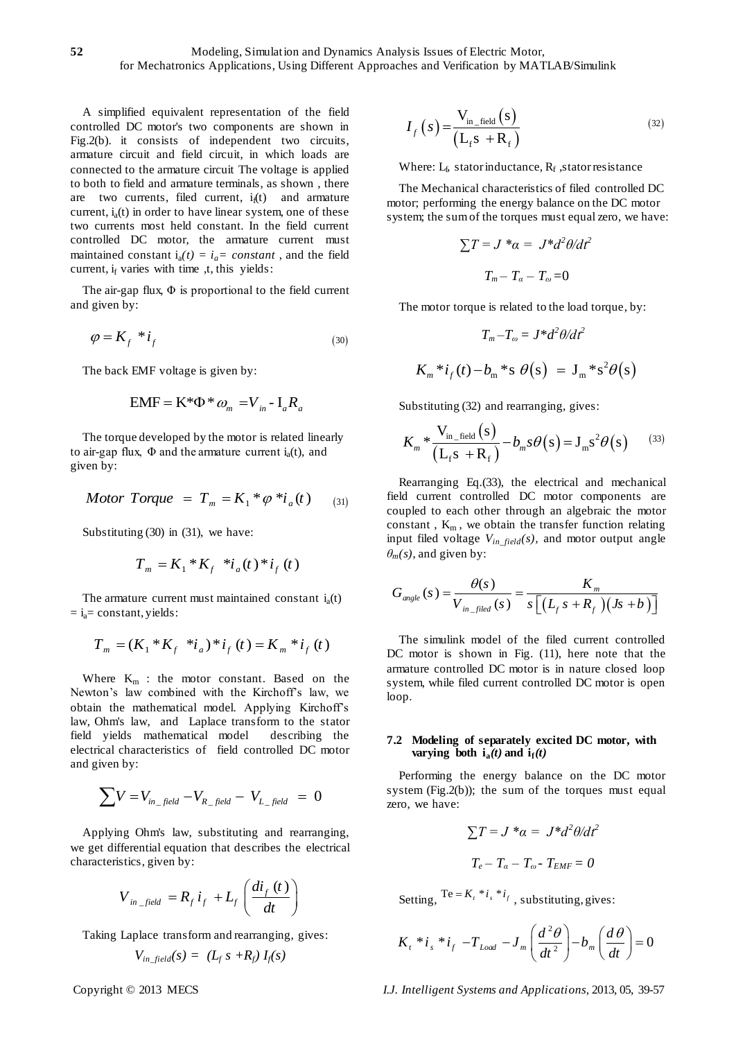A simplified equivalent representation of the field controlled DC motor's two components are shown in Fig.2(b). it consists of independent two circuits, armature circuit and field circuit, in which loads are connected to the armature circuit The voltage is applied to both to field and armature terminals, as shown , there are two currents, filed current,  $i<sub>f</sub>(t)$  and armature current,  $i_a(t)$  in order to have linear system, one of these two currents most held constant. In the field current controlled DC motor, the armature current must maintained constant  $i_a(t) = i_a$ *= constant*, and the field current,  $i_f$  varies with time ,t, this yields:

The air-gap flux,  $\Phi$  is proportional to the field current and given by:

$$
\varphi = K_f * i_f \tag{30}
$$

The back EMF voltage is given by:

$$
EMF = K^* \Phi^* \omega_m = V_{in} - I_a R_a
$$

The torque developed by the motor is related linearly to air-gap flux,  $\Phi$  and the armature current i<sub>a</sub>(t), and given by:

*Motor Torque* = 
$$
T_m = K_1 * \varphi * i_a(t)
$$
 (31)

Substituting (30) in (31), we have:

$$
T_m = K_1 * K_f * i_a(t) * i_f(t)
$$

The armature current must maintained constant  $i_a(t)$  $= i<sub>a</sub> = constant, yields:$ 

$$
T_m = (K_1 * K_f * i_a) * i_f(t) = K_m * i_f(t)
$$

Where  $K_m$  : the motor constant. Based on the Newton's law combined with the Kirchoff's law, we obtain the mathematical model. Applying Kirchoff's law, Ohm's law, and Laplace transform to the stator field yields mathematical model describing the electrical characteristics of field controlled DC motor and given by:

$$
\sum V = V_{in-field} - V_{R-field} - V_{L-field} = 0
$$

Applying Ohm's law, substituting and rearranging, we get differential equation that describes the electrical characteristics, given by:

$$
V_{in\_field} = R_f i_f + L_f \left( \frac{di_f(t)}{dt} \right)
$$

Taking Laplace transform and rearranging, gives:

$$
V_{in\_field}(s) = (L_f s + R_f) I_f(s)
$$

$$
I_f\left(s\right) = \frac{\mathbf{V}_{\text{in\_field}}\left(s\right)}{\left(\mathbf{L}_{\text{f}}s + \mathbf{R}_{\text{f}}\right)}
$$
(32)

Where:  $L_f$ , stator inductance,  $R_f$ , stator resistance

The Mechanical characteristics of filed controlled DC motor; performing the energy balance on the DC motor system; the sum of the torques must equal zero, we have:

$$
\sum T = J^* \alpha = J^* d^2 \theta / d t^2
$$

$$
T_m - T_\alpha - T_\omega = 0
$$

The motor torque is related to the load torque, by:

$$
T_m - T_{\omega} = J^* d^2 \theta / d t^2
$$
  

$$
K_m^* i_f(t) - b_m^* s \theta(s) = J_m^* s^2 \theta(s)
$$

Substituting (32) and rearranging, gives:  
\n
$$
K_m * \frac{V_{in_{field}}(s)}{(L_f s + R_f)} - b_m s \theta(s) = J_m s^2 \theta(s)
$$
\n(33)

Rearranging Eq.(33), the electrical and mechanical field current controlled DC motor components are coupled to each other through an algebraic the motor constant,  $K_m$ , we obtain the transfer function relating input filed voltage *Vin\_field(s),* and motor output angle

$$
\theta_m(s)
$$
, and given by:  
\n
$$
G_{angle}(s) = \frac{\theta(s)}{V_{in\_filed}(s)} = \frac{K_m}{s \left[ (L_f s + R_f) (Js + b) \right]}
$$

The simulink model of the filed current controlled DC motor is shown in Fig.  $(11)$ , here note that the armature controlled DC motor is in nature closed loop system, while filed current controlled DC motor is open loop.

#### **7.2 Modeling of separately excited DC motor, with varying both**  $\mathbf{i}_a(t)$  **and**  $\mathbf{i}_f(t)$

Performing the energy balance on the DC motor system (Fig.2(b)); the sum of the torques must equal zero, we have:

$$
\sum T = J^* \alpha = J^* d^2 \theta / d t^2
$$

$$
T_e - T_\alpha - T_\omega - T_{EMF} = 0
$$

Setting,  $Te = K_t * i_s * i_f$ , substituting, gives:

$$
K_t * i_s * i_f - T_{Load} - J_m \left(\frac{d^2\theta}{dt^2}\right) - b_m \left(\frac{d\theta}{dt}\right) = 0
$$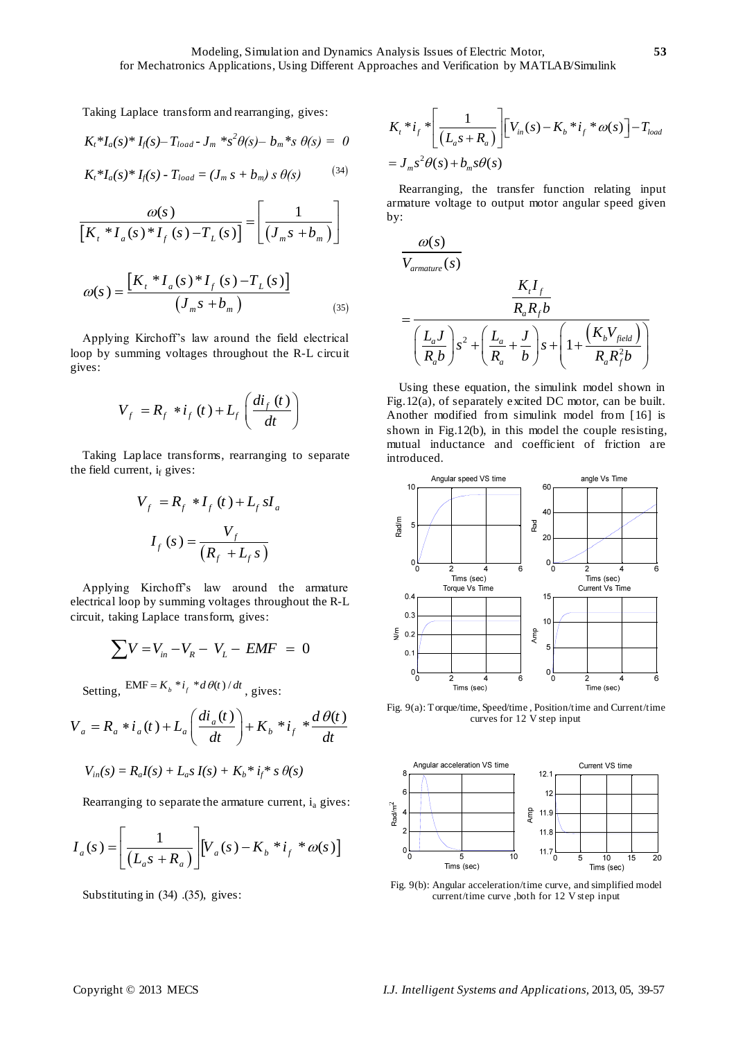Taking Laplace transform and rearranging, gives:

$$
K_t * I_a(s) * I_f(s) - T_{load} - J_m * s^2 \theta(s) - b_m * s \theta(s) = 0
$$

$$
K_t * I_a(s) * I_f(s) - T_{load} = (J_m s + b_m) s \theta(s)
$$
 (34)

$$
\frac{\omega(s)}{\left[K_t * I_a(s) * I_f(s) - T_L(s)\right]} = \left[\frac{1}{\left(J_m s + b_m\right)}\right]
$$

$$
\omega(s) = \frac{\left[K_{t} * I_{a}(s) * I_{f}(s) - T_{L}(s)\right]}{\left(J_{m}s + b_{m}\right)}
$$
(35)

Applying Kirchoff's law around the field electrical loop by summing voltages throughout the R-L circuit gives:

$$
V_f = R_f * i_f(t) + L_f \left(\frac{di_f(t)}{dt}\right)
$$

Taking Laplace transforms, rearranging to separate the field current,  $i_f$  gives:

$$
V_f = R_f * I_f(t) + L_f sI_a
$$

$$
I_f(s) = \frac{V_f}{(R_f + L_f s)}
$$

Applying Kirchoff's law around the armature electrical loop by summing voltages throughout the R-L circuit, taking Laplace transform, gives:

$$
\sum V = V_{in} - V_R - V_L - EMF = 0
$$

Setting, EMF = 
$$
K_b * i_f * d\theta(t) / dt
$$
, gives:  
\n
$$
V_a = R_a * i_a(t) + L_a \left(\frac{di_a(t)}{dt}\right) + K_b * i_f * \frac{d\theta(t)}{dt}
$$

$$
V_{in}(s) = R_a I(s) + L_a s I(s) + K_b * i_f * s \theta(s)
$$

Rearranging to separate the armature current, i<sub>a</sub> gives:  
\n
$$
I_a(s) = \left[ \frac{1}{(L_a s + R_a)} \right] \left[ V_a(s) - K_b * i_f * \omega(s) \right]
$$

Substituting in (34) .(35), gives:

$$
K_{t} * i_{f} * \left[ \frac{1}{(L_{a}s + R_{a})} \right] \left[ V_{in}(s) - K_{b} * i_{f} * \omega(s) \right] - T_{load}
$$
  
=  $J_{m}s^{2} \theta(s) + b_{m}s\theta(s)$ 

Rearranging, the transfer function relating input armature voltage to output motor angular speed given by:

$$
\frac{\omega(s)}{V_{\text{amature}}(s)}
$$
\n
$$
= \frac{\frac{K_{t}I_{f}}{R_{a}R_{f}b}}{\left(\frac{L_{a}J}{R_{a}b}\right)s^{2}+\left(\frac{L_{a}}{R_{a}}+\frac{J}{b}\right)s+\left(1+\frac{\left(K_{b}V_{field}\right)}{R_{a}R_{f}^{2}b}\right)}
$$

Using these equation, the simulink model shown in Fig.12(a), of separately excited DC motor, can be built. Another modified from simulink model from [16] is shown in Fig.12(b), in this model the couple resisting, mutual inductance and coefficient of friction are introduced.



Fig. 9(a): Torque/time, Speed/time , Position/time and Current/time curves for 12 V step input



Fig. 9(b): Angular acceleration/time curve, and simplified model current/time curve ,both for 12 V step input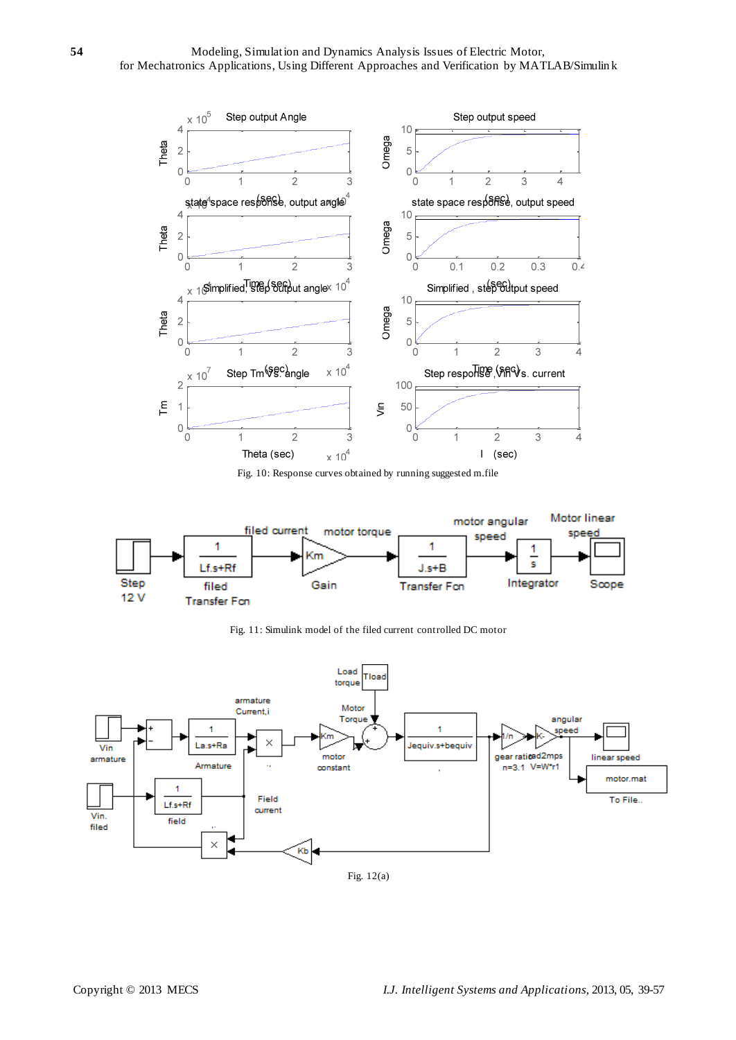

Fig. 10: Response curves obtained by running suggested m.file



Fig. 11: Simulink model of the filed current controlled DC motor



Fig. 12(a)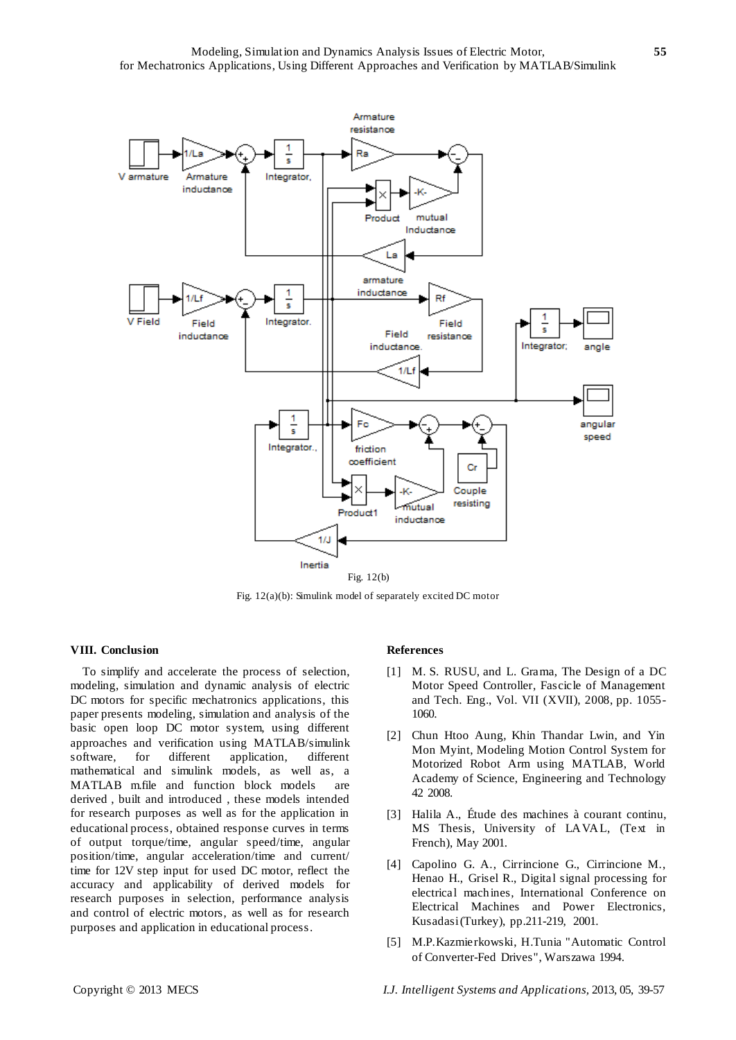

Fig. 12(a)(b): Simulink model of separately excited DC motor

# **VIII. Conclusion**

To simplify and accelerate the process of selection, modeling, simulation and dynamic analysis of electric DC motors for specific mechatronics applications, this paper presents modeling, simulation and analysis of the basic open loop DC motor system, using different approaches and verification using MATLAB/simulink software, for different application, different mathematical and simulink models, as well as, a MATLAB m.file and function block models are derived , built and introduced , these models intended for research purposes as well as for the application in educational process, obtained response curves in terms of output torque/time, angular speed/time, angular position/time, angular acceleration/time and current/ time for 12V step input for used DC motor, reflect the accuracy and applicability of derived models for research purposes in selection, performance analysis and control of electric motors, as well as for research purposes and application in educational process.

#### **References**

- [1] M. S. RUSU, and L. Grama, The Design of a DC Motor Speed Controller, Fascicle of Management and Tech. Eng., Vol. VII (XVII), 2008, pp. 1055- 1060.
- [2] Chun Htoo Aung, Khin Thandar Lwin, and Yin Mon Myint, Modeling Motion Control System for Motorized Robot Arm using MATLAB, World Academy of Science, Engineering and Technology 42 2008.
- [3] Halila A., Étude des machines à courant continu, MS Thesis, University of LAVAL, (Text in French), May 2001.
- [4] Capolino G. A., Cirrincione G., Cirrincione M., Henao H., Grisel R., Digital signal processing for electrical machines, International Conference on Electrical Machines and Power Electronics, Kusadasi (Turkey), pp.211-219, 2001.
- [5] M.P.Kazmierkowski, H.Tunia "Automatic Control of Converter-Fed Drives", Warszawa 1994.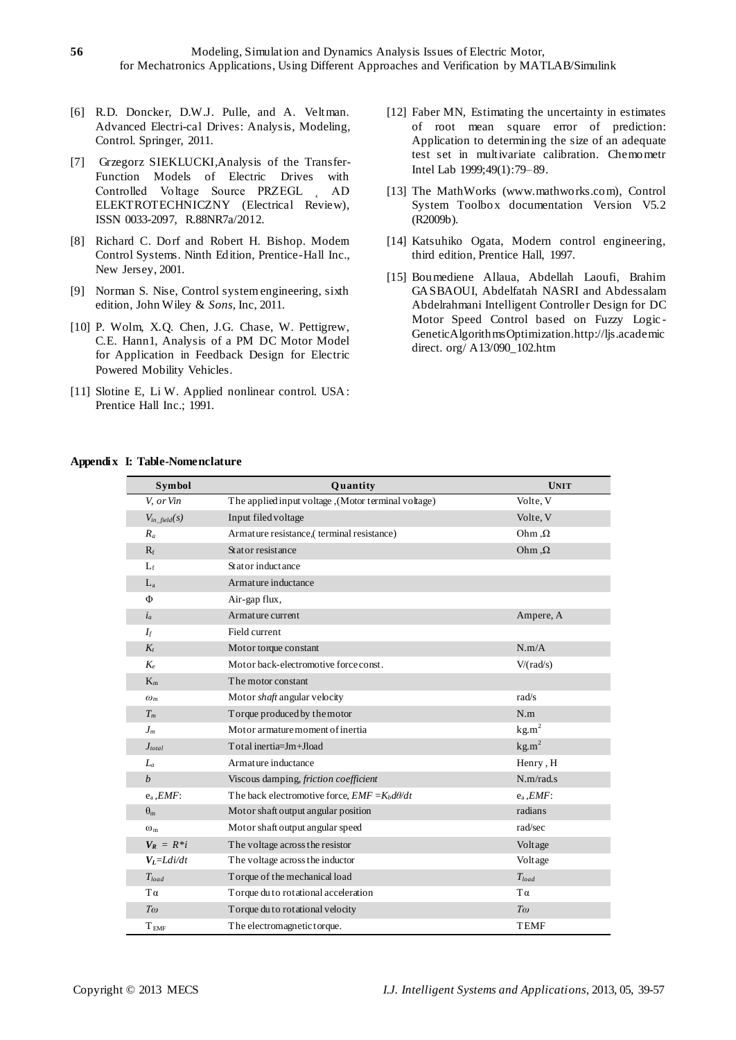- [6] R.D. Doncker, D.W.J. Pulle, and A. Veltman. Advanced Electri-cal Drives: Analysis, Modeling, Control. Springer, 2011.
- [7] Grzegorz SIEKLUCKI,Analysis of the Transfer-Function Models of Electric Drives with Controlled Voltage Source PRZEGL AD ELEKTROTECHNICZNY (Electrical Review), ISSN 0033-2097, R.88NR7a/2012.
- [8] Richard C. Dorf and Robert H. Bishop. Modem Control Systems. Ninth Edition, Prentice-Hall Inc., New Jersey, 2001.
- [9] Norman S. Nise, Control system engineering, sixth edition, John Wiley & *Sons,* Inc, 2011.
- [10] P. Wolm, X.Q. Chen, J.G. Chase, W. Pettigrew, C.E. Hann1, Analysis of a PM DC Motor Model for Application in Feedback Design for Electric Powered Mobility Vehicles.
- [11] Slotine E, Li W. Applied nonlinear control. USA: Prentice Hall Inc.; 1991.
- [12] Faber MN, Estimating the uncertainty in estimates of root mean square error of prediction: Application to determining the size of an adequate test set in multivariate calibration. Chemometr Intel Lab 1999;49(1):79–89.
- [13] The MathWorks (www.mathworks.com), Control System Toolbox documentation Version V5.2 (R2009b).
- [14] Katsuhiko Ogata, Modern control engineering, third edition, Prentice Hall, 1997.
- [15] Boumediene Allaua, Abdellah Laoufi, Brahim GASBAOUI, Abdelfatah NASRI and Abdessalam Abdelrahmani Intelligent Controller Design for DC Motor Speed Control based on Fuzzy Logic - GeneticAlgorithmsOptimization.http://ljs.academic direct. org/ A13/090\_102.htm

#### **Appendix I: Table-Nomenclature**

| Symbol             | Quantity                                             | <b>UNIT</b>       |
|--------------------|------------------------------------------------------|-------------------|
| V, or Vin          | (Motor terminal voltage) (Motor terminal voltage)    | Volte, V          |
| $V_{in\_field}(s)$ | Input filed voltage                                  | Volte, V          |
| $R_a$              | Armature resistance,(terminal resistance)            | $Ohm, \Omega$     |
| $R_f$              | Stator resistance                                    | $Ohm, \Omega$     |
| $L_f$              | Stator inductance                                    |                   |
| $L_a$              | Armature inductance                                  |                   |
| Φ                  | Air-gap flux,                                        |                   |
| $i_a$              | Armature current                                     | Ampere, A         |
| $I_f$              | Field current                                        |                   |
| $K_t$              | Motor torque constant                                | N.m/A             |
| $K_e$              | Motor back-electromotive force const.                | V/(rad/s)         |
| $K_m$              | The motor constant                                   |                   |
| $\omega_m$         | Motor <i>shaft</i> angular velocity                  | rad/s             |
| $T_m$              | Torque produced by the motor                         | N.m               |
| $J_m$              | Motor armature moment of inertia                     | kg.m <sup>2</sup> |
| $J_{total}$        | Total inertia=Jm+Jload                               | kg.m <sup>2</sup> |
| $L_a$              | Armature inductance                                  | Henry, H          |
| $\boldsymbol{b}$   | Viscous damping, friction coefficient                | N.m/rad.s         |
| $e_a$ , $EMF$ :    | The back electromotive force, $EMF = K_b d\theta/dt$ | $e_a$ , $EMF$ :   |
| $\theta_m$         | Motor shaft output angular position                  | radians           |
| $\omega_{m}$       | Motor shaft output angular speed                     | rad/sec           |
| $V_R = R * i$      | The voltage across the resistor                      | Voltage           |
| $V_L = Ldi/dt$     | The voltage across the inductor                      | Voltage           |
| $T_{load}$         | Torque of the mechanical load                        | $T_{load}$        |
| $T\alpha$          | Torque du to rotational acceleration                 | $T\alpha$         |
| $T\omega$          | Torque du to rotational velocity                     | $T\omega$         |
| $T_{\rm\, EMF}$    | The electromagnetic torque.                          | <b>TEMF</b>       |